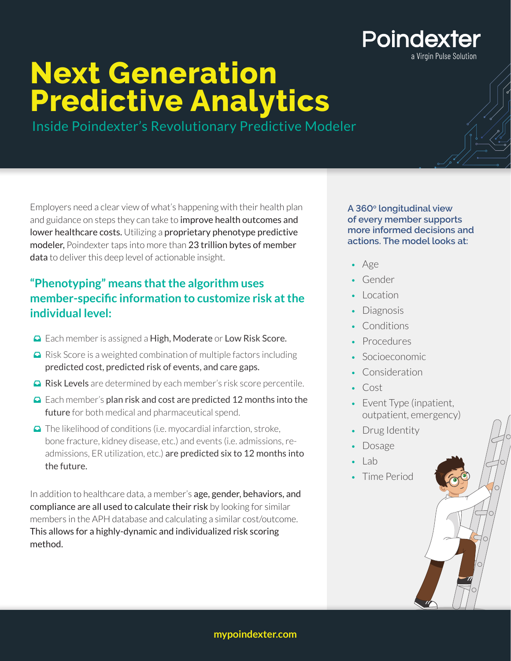## **Poindexter**

a Virgin Pulse Solution

# **Next Generation Predictive Analytics**

Inside Poindexter's Revolutionary Predictive Modeler

Employers need a clear view of what's happening with their health plan and guidance on steps they can take to improve health outcomes and lower healthcare costs. Utilizing a proprietary phenotype predictive modeler, Poindexter taps into more than 23 trillion bytes of member data to deliver this deep level of actionable insight.

#### **"Phenotyping" means that the algorithm uses member-specific information to customize risk at the individual level:**

- **□** Each member is assigned a High, Moderate or Low Risk Score.
- $\Box$  Risk Score is a weighted combination of multiple factors including predicted cost, predicted risk of events, and care gaps.
- **□ Risk Levels** are determined by each member's risk score percentile.
- $\Box$  Each member's plan risk and cost are predicted 12 months into the future for both medical and pharmaceutical spend.
- $\Box$  The likelihood of conditions (i.e. myocardial infarction, stroke, bone fracture, kidney disease, etc.) and events (i.e. admissions, readmissions, ER utilization, etc.) are predicted six to 12 months into the future.

In addition to healthcare data, a member's age, gender, behaviors, and compliance are all used to calculate their risk by looking for similar members in the APH database and calculating a similar cost/outcome. This allows for a highly-dynamic and individualized risk scoring method.

**A 360o longitudinal view of every member supports more informed decisions and actions. The model looks at:** 

- Age
- Gender
- Location
- Diagnosis
- Conditions
- Procedures
- Socioeconomic
- Consideration
- Cost
- Event Type (inpatient, outpatient, emergency)
- Drug Identity
- Dosage
- $-$  Lab
- Time Period